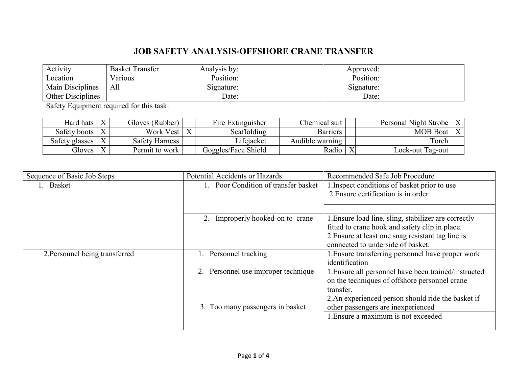## **JOB SAFETY ANALYSIS-OFFSHORE CRANE TRANSFER**

| Activity                | <b>Basket Transfer</b> | Analysis by: | Approved:  |  |
|-------------------------|------------------------|--------------|------------|--|
| Location                | Various                | Position:    | Position:  |  |
| <b>Main Disciplines</b> | All                    | Signature:   | Signature: |  |
| Other Disciplines       |                        | Date:        | Date:      |  |

Safety Equipment required for this task:

| Hard hats      | $\mathbf{v}$ | Gloves (Rubber) |   | Fire Extinguisher   | Chemical suit   |             | Personal Night Strobe | $\mathbf{v}$ |
|----------------|--------------|-----------------|---|---------------------|-----------------|-------------|-----------------------|--------------|
| Safety boots   | $\mathbf{v}$ | Work Vest       | X | Scaffolding         | <b>Barriers</b> |             | <b>MOB</b> Boat       | $\mathbf{r}$ |
| Safety glasses | $\mathbf{v}$ | Safety Harness  |   | Lifejacket          | Audible warning |             | Torch                 |              |
| Gloves         | $\mathbf{v}$ | Permit to work  |   | Goggles/Face Shield | Radio           | $\mathbf v$ | Lock-out Tag-out      |              |

| Sequence of Basic Job Steps    | Potential Accidents or Hazards      | Recommended Safe Job Procedure                       |  |
|--------------------------------|-------------------------------------|------------------------------------------------------|--|
| <b>Basket</b>                  | Poor Condition of transfer basket   | 1. Inspect conditions of basket prior to use         |  |
|                                |                                     | 2. Ensure certification is in order                  |  |
|                                |                                     |                                                      |  |
|                                |                                     |                                                      |  |
|                                | Improperly hooked-on to crane<br>2. | 1. Ensure load line, sling, stabilizer are correctly |  |
|                                |                                     | fitted to crane hook and safety clip in place.       |  |
|                                |                                     | 2. Ensure at least one snag resistant tag line is    |  |
|                                |                                     | connected to underside of basket.                    |  |
| 2. Personnel being transferred | Personnel tracking                  | 1. Ensure transferring personnel have proper work    |  |
|                                |                                     | identification                                       |  |
|                                | Personnel use improper technique    | 1. Ensure all personnel have been trained/instructed |  |
|                                |                                     | on the techniques of offshore personnel crane        |  |
|                                |                                     | transfer.                                            |  |
|                                |                                     | 2. An experienced person should ride the basket if   |  |
|                                | 3. Too many passengers in basket    | other passengers are inexperienced                   |  |
|                                |                                     | 1. Ensure a maximum is not exceeded                  |  |
|                                |                                     |                                                      |  |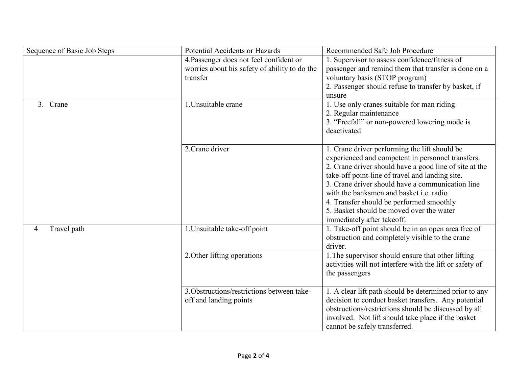| Sequence of Basic Job Steps | Potential Accidents or Hazards                | Recommended Safe Job Procedure                           |
|-----------------------------|-----------------------------------------------|----------------------------------------------------------|
|                             | 4. Passenger does not feel confident or       | 1. Supervisor to assess confidence/fitness of            |
|                             | worries about his safety of ability to do the | passenger and remind them that transfer is done on a     |
|                             | transfer                                      | voluntary basis (STOP program)                           |
|                             |                                               | 2. Passenger should refuse to transfer by basket, if     |
|                             |                                               | unsure                                                   |
| 3. Crane                    | 1. Unsuitable crane                           | 1. Use only cranes suitable for man riding               |
|                             |                                               | 2. Regular maintenance                                   |
|                             |                                               | 3. "Freefall" or non-powered lowering mode is            |
|                             |                                               | deactivated                                              |
|                             |                                               |                                                          |
|                             | 2. Crane driver                               | 1. Crane driver performing the lift should be            |
|                             |                                               | experienced and competent in personnel transfers.        |
|                             |                                               | 2. Crane driver should have a good line of site at the   |
|                             |                                               | take-off point-line of travel and landing site.          |
|                             |                                               | 3. Crane driver should have a communication line         |
|                             |                                               | with the banksmen and basket <i>i.e.</i> radio           |
|                             |                                               | 4. Transfer should be performed smoothly                 |
|                             |                                               | 5. Basket should be moved over the water                 |
|                             |                                               | immediately after takeoff.                               |
| Travel path<br>4            | 1. Unsuitable take-off point                  | 1. Take-off point should be in an open area free of      |
|                             |                                               | obstruction and completely visible to the crane          |
|                             |                                               | driver.                                                  |
|                             | 2. Other lifting operations                   | 1. The supervisor should ensure that other lifting       |
|                             |                                               | activities will not interfere with the lift or safety of |
|                             |                                               | the passengers                                           |
|                             |                                               |                                                          |
|                             | 3. Obstructions/restrictions between take-    | 1. A clear lift path should be determined prior to any   |
|                             | off and landing points                        | decision to conduct basket transfers. Any potential      |
|                             |                                               | obstructions/restrictions should be discussed by all     |
|                             |                                               | involved. Not lift should take place if the basket       |
|                             |                                               | cannot be safely transferred.                            |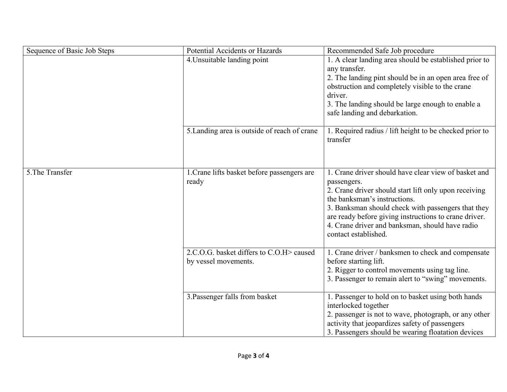| Sequence of Basic Job Steps | Potential Accidents or Hazards                                    | Recommended Safe Job procedure                                                                                                                                                                                                                                                                                                                         |
|-----------------------------|-------------------------------------------------------------------|--------------------------------------------------------------------------------------------------------------------------------------------------------------------------------------------------------------------------------------------------------------------------------------------------------------------------------------------------------|
|                             | 4. Unsuitable landing point                                       | 1. A clear landing area should be established prior to<br>any transfer.<br>2. The landing pint should be in an open area free of<br>obstruction and completely visible to the crane<br>driver.<br>3. The landing should be large enough to enable a<br>safe landing and debarkation.                                                                   |
|                             | 5. Landing area is outside of reach of crane                      | 1. Required radius / lift height to be checked prior to<br>transfer                                                                                                                                                                                                                                                                                    |
| 5. The Transfer             | 1. Crane lifts basket before passengers are<br>ready              | 1. Crane driver should have clear view of basket and<br>passengers.<br>2. Crane driver should start lift only upon receiving<br>the banksman's instructions.<br>3. Banksman should check with passengers that they<br>are ready before giving instructions to crane driver.<br>4. Crane driver and banksman, should have radio<br>contact established. |
|                             | 2.C.O.G. basket differs to C.O.H > caused<br>by vessel movements. | 1. Crane driver / banksmen to check and compensate<br>before starting lift.<br>2. Rigger to control movements using tag line.<br>3. Passenger to remain alert to "swing" movements.                                                                                                                                                                    |
|                             | 3. Passenger falls from basket                                    | 1. Passenger to hold on to basket using both hands<br>interlocked together<br>2. passenger is not to wave, photograph, or any other<br>activity that jeopardizes safety of passengers<br>3. Passengers should be wearing floatation devices                                                                                                            |